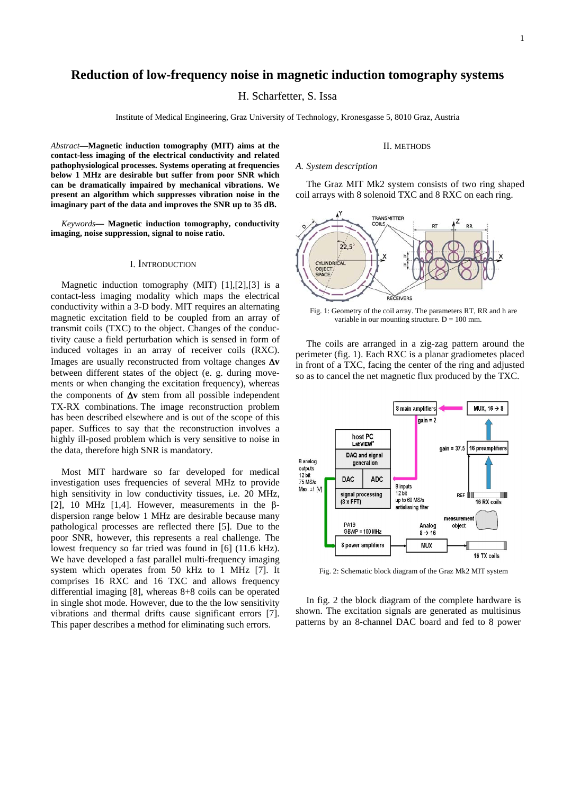# **Reduction of low-frequency noise in magnetic induction tomography systems**

H. Scharfetter, S. Issa

Institute of Medical Engineering, Graz University of Technology, Kronesgasse 5, 8010 Graz, Austria

*Abstract***—Magnetic induction tomography (MIT) aims at the contact-less imaging of the electrical conductivity and related pathophysiological processes. Systems operating at frequencies below 1 MHz are desirable but suffer from poor SNR which can be dramatically impaired by mechanical vibrations. We present an algorithm which suppresses vibration noise in the imaginary part of the data and improves the SNR up to 35 dB.** 

*Keywords***— Magnetic induction tomography, conductivity imaging, noise suppression, signal to noise ratio.** 

# I. INTRODUCTION

Magnetic induction tomography (MIT) [1],[2],[3] is a contact-less imaging modality which maps the electrical conductivity within a 3-D body. MIT requires an alternating magnetic excitation field to be coupled from an array of transmit coils (TXC) to the object. Changes of the conductivity cause a field perturbation which is sensed in form of induced voltages in an array of receiver coils (RXC). Images are usually reconstructed from voltage changes Δ**v** between different states of the object (e. g. during movements or when changing the excitation frequency), whereas the components of Δ**v** stem from all possible independent TX-RX combinations. The image reconstruction problem has been described elsewhere and is out of the scope of this paper. Suffices to say that the reconstruction involves a highly ill-posed problem which is very sensitive to noise in the data, therefore high SNR is mandatory.

Most MIT hardware so far developed for medical investigation uses frequencies of several MHz to provide high sensitivity in low conductivity tissues, i.e. 20 MHz, [2], 10 MHz [1,4]. However, measurements in the  $\beta$ dispersion range below 1 MHz are desirable because many pathological processes are reflected there [5]. Due to the poor SNR, however, this represents a real challenge. The lowest frequency so far tried was found in [6] (11.6 kHz). We have developed a fast parallel multi-frequency imaging system which operates from 50 kHz to 1 MHz [7]. It comprises 16 RXC and 16 TXC and allows frequency differential imaging [8], whereas 8+8 coils can be operated in single shot mode. However, due to the the low sensitivity vibrations and thermal drifts cause significant errors [7]. This paper describes a method for eliminating such errors.

#### II. METHODS

#### *A. System description*

The Graz MIT Mk2 system consists of two ring shaped coil arrays with 8 solenoid TXC and 8 RXC on each ring.



Fig. 1: Geometry of the coil array. The parameters RT, RR and h are variable in our mounting structure.  $D = 100$  mm.

The coils are arranged in a zig-zag pattern around the perimeter (fig. 1). Each RXC is a planar gradiometes placed in front of a TXC, facing the center of the ring and adjusted so as to cancel the net magnetic flux produced by the TXC.



Fig. 2: Schematic block diagram of the Graz Mk2 MIT system

In fig. 2 the block diagram of the complete hardware is shown. The excitation signals are generated as multisinus patterns by an 8-channel DAC board and fed to 8 power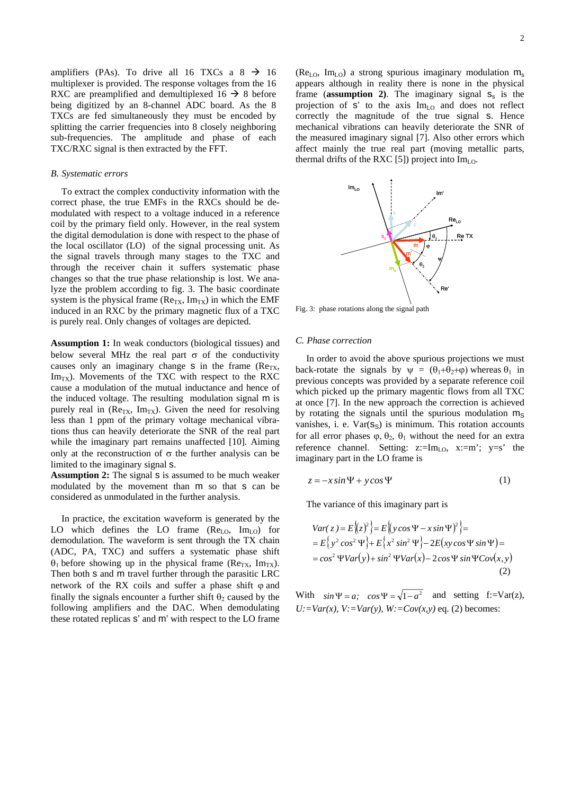amplifiers (PAs). To drive all 16 TXCs a  $8 \rightarrow 16$ multiplexer is provided. The response voltages from the 16 RXC are preamplified and demultiplexed 16  $\rightarrow$  8 before being digitized by an 8-channel ADC board. As the 8 TXCs are fed simultaneously they must be encoded by splitting the carrier frequencies into 8 closely neighboring sub-frequencies. The amplitude and phase of each TXC/RXC signal is then extracted by the FFT.

#### *B. Systematic errors*

To extract the complex conductivity information with the correct phase, the true EMFs in the RXCs should be demodulated with respect to a voltage induced in a reference coil by the primary field only. However, in the real system the digital demodulation is done with respect to the phase of the local oscillator (LO) of the signal processing unit. As the signal travels through many stages to the TXC and through the receiver chain it suffers systematic phase changes so that the true phase relationship is lost. We analyze the problem according to fig. 3. The basic coordinate system is the physical frame ( $\text{Re}_{TX}$ ,  $\text{Im}_{TX}$ ) in which the EMF induced in an RXC by the primary magnetic flux of a TXC is purely real. Only changes of voltages are depicted.

**Assumption 1:** In weak conductors (biological tissues) and below several MHz the real part  $\sigma$  of the conductivity causes only an imaginary change s in the frame  $(Re_{TX},$  $Im<sub>TX</sub>$ ). Movements of the TXC with respect to the RXC cause a modulation of the mutual inductance and hence of the induced voltage. The resulting modulation signal m is purely real in ( $Re_{TX}$ , Im<sub>TX</sub>). Given the need for resolving less than 1 ppm of the primary voltage mechanical vibrations thus can heavily deteriorate the SNR of the real part while the imaginary part remains unaffected [10]. Aiming only at the reconstruction of  $\sigma$  the further analysis can be limited to the imaginary signal s.

Assumption 2: The signal s is assumed to be much weaker modulated by the movement than m so that s can be considered as unmodulated in the further analysis.

In practice, the excitation waveform is generated by the LO which defines the LO frame  $(Re<sub>LO</sub>, Im<sub>LO</sub>)$  for demodulation. The waveform is sent through the TX chain (ADC, PA, TXC) and suffers a systematic phase shift  $\theta_1$  before showing up in the physical frame (Re<sub>TX</sub>, Im<sub>TX</sub>). Then both s and m travel further through the parasitic LRC network of the RX coils and suffer a phase shift  $\omega$  and finally the signals encounter a further shift  $\theta_2$  caused by the following amplifiers and the DAC. When demodulating these rotated replicas s' and m' with respect to the LO frame

( $Re_{LO}$ , Im<sub>LO</sub>) a strong spurious imaginary modulation  $m_s$ appears although in reality there is none in the physical frame (**assumption 2**). The imaginary signal  $s_s$  is the projection of  $s'$  to the axis  $\text{Im}_{\text{LO}}$  and does not reflect correctly the magnitude of the true signal s. Hence mechanical vibrations can heavily deteriorate the SNR of the measured imaginary signal [7]. Also other errors which affect mainly the true real part (moving metallic parts, thermal drifts of the RXC [5]) project into  $Im<sub>LO</sub>$ .



Fig. 3: phase rotations along the signal path

# *C. Phase correction*

In order to avoid the above spurious projections we must back-rotate the signals by  $\psi = (\theta_1 + \theta_2 + \varphi)$  whereas  $\theta_1$  in previous concepts was provided by a separate reference coil which picked up the primary magentic flows from all TXC at once [7]. In the new approach the correction is achieved by rotating the signals until the spurious modulation  $m<sub>S</sub>$ vanishes, i. e.  $Var(S<sub>S</sub>)$  is minimum. This rotation accounts for all error phases  $\varphi$ ,  $\theta_2$ ,  $\theta_1$  without the need for an extra reference channel. Setting:  $z:=Im_{LO}$ ,  $x:=m$ ;  $y=s$  the imaginary part in the LO frame is

$$
z = -x\sin\Psi + y\cos\Psi \tag{1}
$$

The variance of this imaginary part is

$$
Var(z) = E\{(z)^2\} = E\{(y\cos\Psi - x\sin\Psi)^2\} =
$$
  
=  $E\{y^2\cos^2\Psi\} + E\{x^2\sin^2\Psi\} - 2E(xy\cos\Psi\sin\Psi) =$   
=  $\cos^2\Psi Var(y) + \sin^2\Psi Var(x) - 2\cos\Psi\sin\Psi Cov(x, y)$  (2)

With  $sin \Psi = a$ ;  $cos \Psi = \sqrt{1-a^2}$  and setting f:=Var(z),  $U:=Var(x)$ ,  $V:=Var(y)$ ,  $W: =Cov(x, y)$  eq. (2) becomes: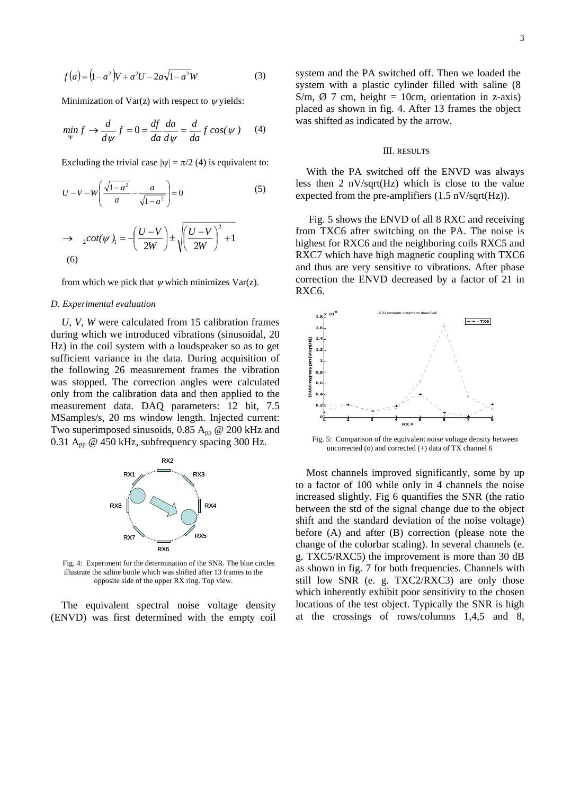$$
f(a) = (1 - a2)V + a2U - 2a\sqrt{1 - a2W}
$$
 (3)

Minimization of Var(z) with respect to  $\nu$  yields:

$$
\min_{\Psi} f \to \frac{d}{d\psi} f = 0 = \frac{df}{da} \frac{da}{d\psi} = \frac{d}{da} f \cos(\psi) \quad (4)
$$

Excluding the trivial case  $|\psi| = \pi/2$  (4) is equivalent to:

$$
U - V - W \left( \frac{\sqrt{1 - a^2}}{a} - \frac{a}{\sqrt{1 - a^2}} \right) = 0
$$
\n
$$
\Rightarrow \quad {}_{2}cot(\psi)_{1} = -\left( \frac{U - V}{2W} \right) \pm \sqrt{\left( \frac{U - V}{2W} \right)^2 + 1}
$$
\n(6)

from which we pick that  $\psi$  which minimizes Var(z).

## *D. Experimental evaluation*

*U, V*, *W* were calculated from 15 calibration frames during which we introduced vibrations (sinusoidal, 20 Hz) in the coil system with a loudspeaker so as to get sufficient variance in the data. During acquisition of the following 26 measurement frames the vibration was stopped. The correction angles were calculated only from the calibration data and then applied to the measurement data. DAQ parameters: 12 bit, 7.5 MSamples/s, 20 ms window length. Injected current: Two superimposed sinusoids, 0.85  $A_{\text{pp}}$  @ 200 kHz and 0.31  $A_{\text{pp}}$  @ 450 kHz, subfrequency spacing 300 Hz.



Fig. 4: Experiment for the determination of the SNR. The blue circles illustrate the saline bottle which was shifted after 13 frames to the opposite side of the upper RX ring. Top view.

The equivalent spectral noise voltage density (ENVD) was first determined with the empty coil

system and the PA switched off. Then we loaded the system with a plastic cylinder filled with saline (8 S/m,  $\varnothing$  7 cm, height = 10cm, orientation in z-axis) placed as shown in fig. 4. After 13 frames the object was shifted as indicated by the arrow.

#### III. RESULTS

With the PA switched off the ENVD was always less then 2 nV/sqrt(Hz) which is close to the value expected from the pre-amplifiers  $(1.5 \text{ nV/sqrt(Hz)})$ .

Fig. 5 shows the ENVD of all 8 RXC and receiving from TXC6 after switching on the PA. The noise is highest for RXC6 and the neighboring coils RXC5 and RXC7 which have high magnetic coupling with TXC6 and thus are very sensitive to vibrations. After phase correction the ENVD decreased by a factor of 21 in RXC6.



Fig. 5: Comparison of the equivalent noise voltage density between uncorrected (o) and corrected (+) data of TX channel 6

Most channels improved significantly, some by up to a factor of 100 while only in 4 channels the noise increased slightly. Fig 6 quantifies the SNR (the ratio between the std of the signal change due to the object shift and the standard deviation of the noise voltage) before (A) and after (B) correction (please note the change of the colorbar scaling). In several channels (e. g. TXC5/RXC5) the improvement is more than 30 dB as shown in fig. 7 for both frequencies. Channels with still low SNR (e. g. TXC2/RXC3) are only those which inherently exhibit poor sensitivity to the chosen locations of the test object. Typically the SNR is high at the crossings of rows/columns 1,4,5 and 8,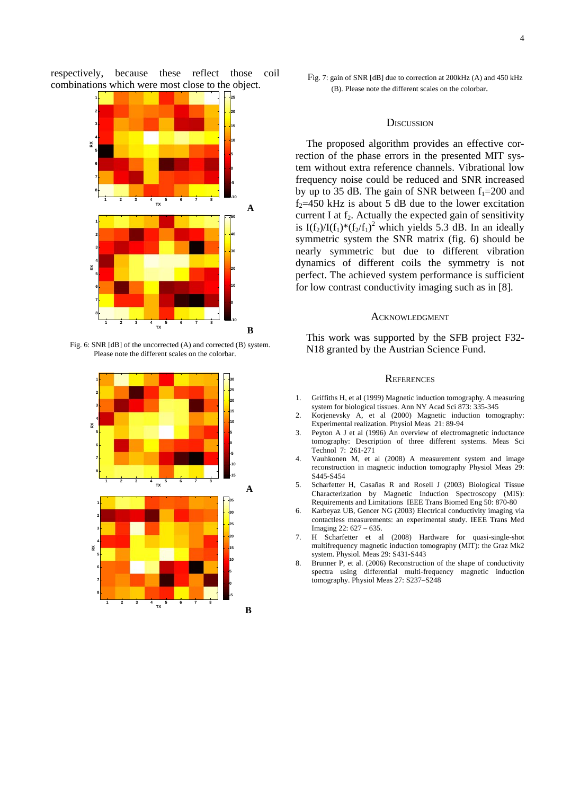respectively, because these reflect those coil combinations which were most close to the object.



Fig. 6: SNR [dB] of the uncorrected (A) and corrected (B) system. Please note the different scales on the colorbar.



## **DISCUSSION**

The proposed algorithm provides an effective correction of the phase errors in the presented MIT system without extra reference channels. Vibrational low frequency noise could be reduced and SNR increased by up to 35 dB. The gain of SNR between  $f_1$ =200 and  $f_2$ =450 kHz is about 5 dB due to the lower excitation current I at  $f_2$ . Actually the expected gain of sensitivity is I(f<sub>2</sub>)/I(f<sub>1</sub>)\*(f<sub>2</sub>/f<sub>1</sub>)<sup>2</sup> which yields 5.3 dB. In an ideally symmetric system the SNR matrix (fig. 6) should be nearly symmetric but due to different vibration dynamics of different coils the symmetry is not perfect. The achieved system performance is sufficient for low contrast conductivity imaging such as in [8].

## ACKNOWLEDGMENT

This work was supported by the SFB project F32- N18 granted by the Austrian Science Fund.

### **REFERENCES**

- 1. Griffiths H, et al (1999) Magnetic induction tomography. A measuring system for biological tissues. Ann NY Acad Sci 873: 335-345
- 2. Korjenevsky A, et al (2000) Magnetic induction tomography: Experimental realization. Physiol Meas 21: 89-94
- 3. Peyton A J et al (1996) An overview of electromagnetic inductance tomography: Description of three different systems. Meas Sci Technol 7: 261-271
- 4. Vauhkonen M, et al (2008) A measurement system and image reconstruction in magnetic induction tomography Physiol Meas 29: S445-S454
- 5. Scharfetter H, Casañas R and Rosell J (2003) Biological Tissue Characterization by Magnetic Induction Spectroscopy (MIS): Requirements and Limitations IEEE Trans Biomed Eng 50: 870-80
- 6. Karbeyaz UB, Gencer NG (2003) Electrical conductivity imaging via contactless measurements: an experimental study. IEEE Trans Med Imaging 22: 627 – 635.
- 7. H Scharfetter et al (2008) Hardware for quasi-single-shot multifrequency magnetic induction tomography (MIT): the Graz Mk2 system. Physiol. Meas 29: S431-S443
- 8. Brunner P, et al. (2006) Reconstruction of the shape of conductivity spectra using differential multi-frequency magnetic induction tomography. Physiol Meas 27: S237–S248